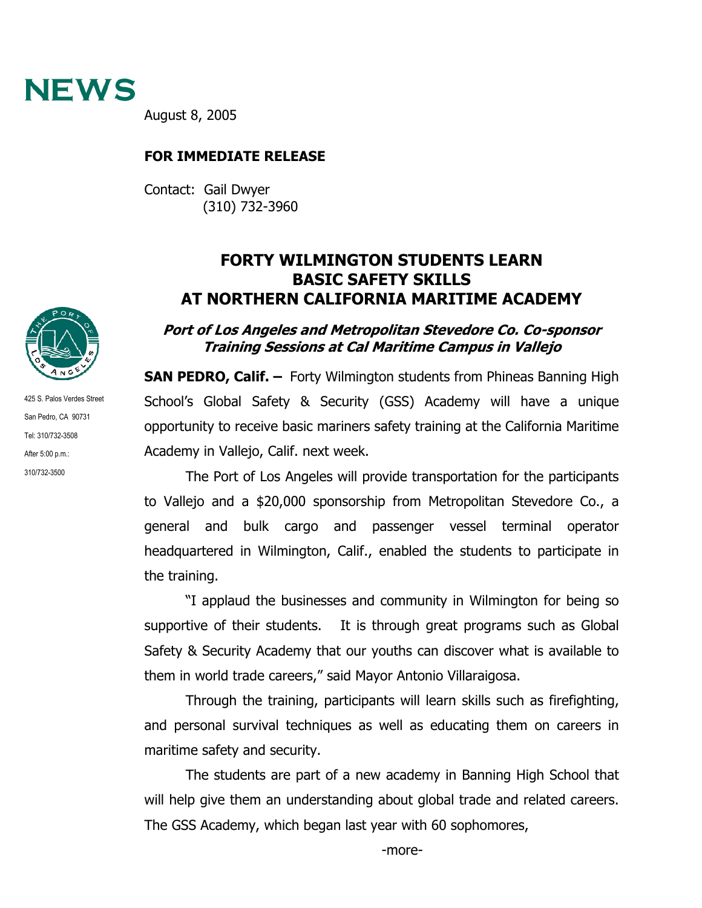

August 8, 2005

## **FOR IMMEDIATE RELEASE**

Contact: Gail Dwyer (310) 732-3960

## **FORTY WILMINGTON STUDENTS LEARN BASIC SAFETY SKILLS AT NORTHERN CALIFORNIA MARITIME ACADEMY**

## **Port of Los Angeles and Metropolitan Stevedore Co. Co-sponsor Training Sessions at Cal Maritime Campus in Vallejo**

**SAN PEDRO, Calif. –** Forty Wilmington students from Phineas Banning High School's Global Safety & Security (GSS) Academy will have a unique opportunity to receive basic mariners safety training at the California Maritime Academy in Vallejo, Calif. next week.

The Port of Los Angeles will provide transportation for the participants to Vallejo and a \$20,000 sponsorship from Metropolitan Stevedore Co., a general and bulk cargo and passenger vessel terminal operator headquartered in Wilmington, Calif., enabled the students to participate in the training.

"I applaud the businesses and community in Wilmington for being so supportive of their students. It is through great programs such as Global Safety & Security Academy that our youths can discover what is available to them in world trade careers," said Mayor Antonio Villaraigosa.

Through the training, participants will learn skills such as firefighting, and personal survival techniques as well as educating them on careers in maritime safety and security.

The students are part of a new academy in Banning High School that will help give them an understanding about global trade and related careers. The GSS Academy, which began last year with 60 sophomores,



425 S. Palos Verdes Street San Pedro, CA 90731 Tel: 310/732-3508 After 5:00 p.m.: 310/732-3500